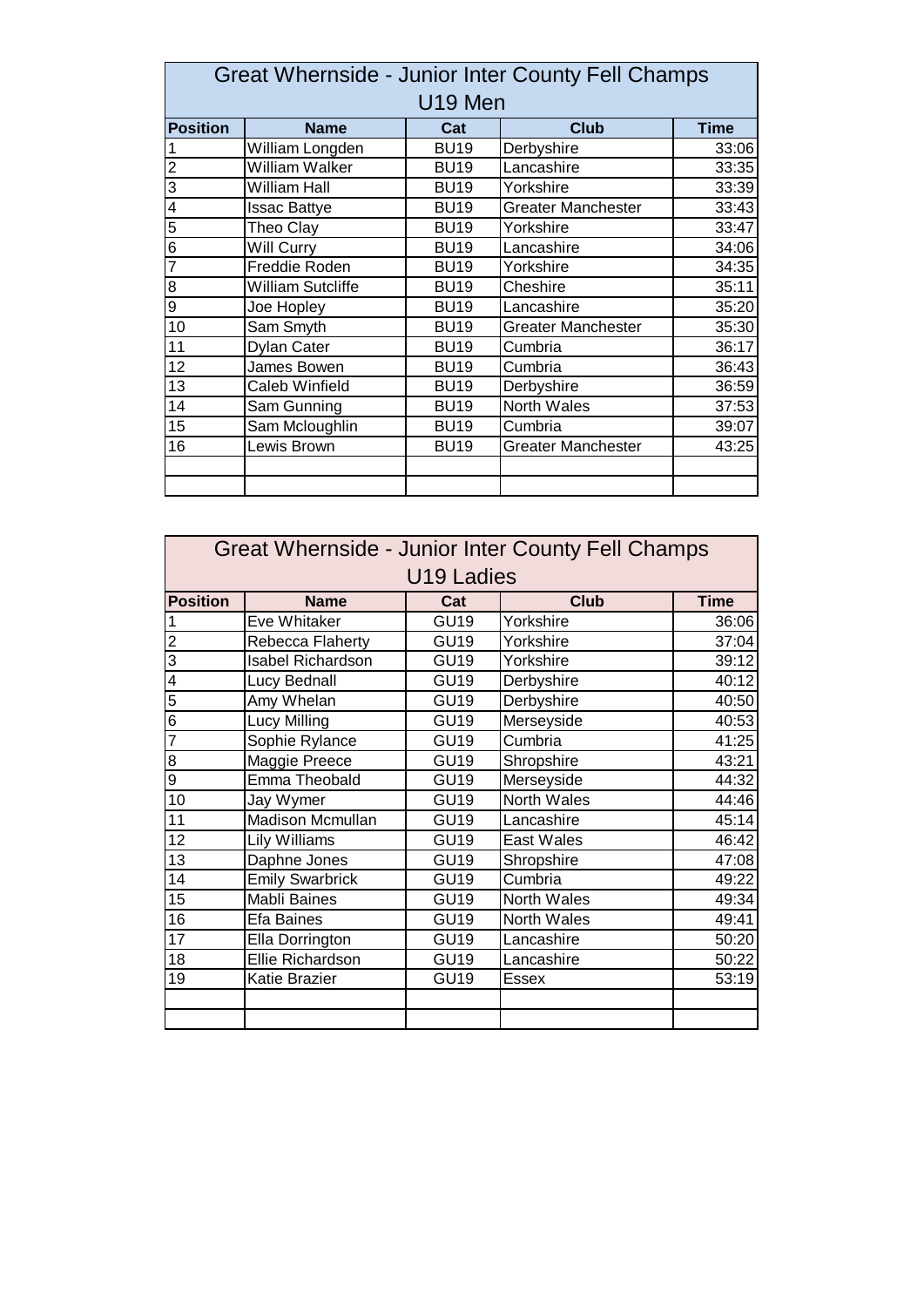| <b>Great Whernside - Junior Inter County Fell Champs</b><br>U19 Men |                       |             |                           |             |
|---------------------------------------------------------------------|-----------------------|-------------|---------------------------|-------------|
| <b>Position</b>                                                     | <b>Name</b>           | Cat         | Club                      | <b>Time</b> |
|                                                                     | William Longden       | <b>BU19</b> | Derbyshire                | 33:06       |
| $\overline{c}$                                                      | William Walker        | <b>BU19</b> | Lancashire                | 33:35       |
| 3                                                                   | William Hall          | <b>BU19</b> | Yorkshire                 | 33:39       |
| 4                                                                   | <b>Issac Battye</b>   | <b>BU19</b> | <b>Greater Manchester</b> | 33:43       |
| 5                                                                   | Theo Clay             | <b>BU19</b> | Yorkshire                 | 33:47       |
| 6                                                                   | Will Curry            | <b>BU19</b> | Lancashire                | 34:06       |
| 7                                                                   | Freddie Roden         | <b>BU19</b> | Yorkshire                 | 34:35       |
| 8                                                                   | William Sutcliffe     | <b>BU19</b> | Cheshire                  | 35:11       |
| 9                                                                   | Joe Hopley            | <b>BU19</b> | Lancashire                | 35:20       |
| 10                                                                  | Sam Smyth             | <b>BU19</b> | <b>Greater Manchester</b> | 35:30       |
| 11                                                                  | <b>Dylan Cater</b>    | <b>BU19</b> | Cumbria                   | 36:17       |
| 12                                                                  | James Bowen           | <b>BU19</b> | Cumbria                   | 36:43       |
| 13                                                                  | <b>Caleb Winfield</b> | <b>BU19</b> | Derbyshire                | 36:59       |
| 14                                                                  | Sam Gunning           | <b>BU19</b> | North Wales               | 37:53       |
| 15                                                                  | Sam Mcloughlin        | <b>BU19</b> | Cumbria                   | 39:07       |
| 16                                                                  | Lewis Brown           | <b>BU19</b> | <b>Greater Manchester</b> | 43:25       |
|                                                                     |                       |             |                           |             |

| <b>Great Whernside - Junior Inter County Fell Champs</b> |                         |                  |             |             |
|----------------------------------------------------------|-------------------------|------------------|-------------|-------------|
| U19 Ladies                                               |                         |                  |             |             |
| <b>Position</b>                                          | <b>Name</b>             | Cat              | <b>Club</b> | <b>Time</b> |
|                                                          | Eve Whitaker            | <b>GU19</b>      | Yorkshire   | 36:06       |
| $\overline{c}$                                           | Rebecca Flaherty        | GU <sub>19</sub> | Yorkshire   | 37:04       |
| 3                                                        | Isabel Richardson       | <b>GU19</b>      | Yorkshire   | 39:12       |
| 4                                                        | Lucy Bednall            | <b>GU19</b>      | Derbyshire  | 40:12       |
| 5                                                        | Amy Whelan              | <b>GU19</b>      | Derbyshire  | 40:50       |
| 6                                                        | Lucy Milling            | GU <sub>19</sub> | Merseyside  | 40:53       |
| $\overline{7}$                                           | Sophie Rylance          | GU <sub>19</sub> | Cumbria     | 41:25       |
| 8                                                        | Maggie Preece           | GU <sub>19</sub> | Shropshire  | 43:21       |
| 9                                                        | Emma Theobald           | <b>GU19</b>      | Merseyside  | 44:32       |
| 10                                                       | Jay Wymer               | GU <sub>19</sub> | North Wales | 44:46       |
| 11                                                       | <b>Madison Mcmullan</b> | <b>GU19</b>      | Lancashire  | 45:14       |
| 12                                                       | Lily Williams           | <b>GU19</b>      | East Wales  | 46:42       |
| 13                                                       | Daphne Jones            | <b>GU19</b>      | Shropshire  | 47:08       |
| 14                                                       | <b>Emily Swarbrick</b>  | <b>GU19</b>      | Cumbria     | 49:22       |
| 15                                                       | Mabli Baines            | <b>GU19</b>      | North Wales | 49:34       |
| 16                                                       | Efa Baines              | <b>GU19</b>      | North Wales | 49:41       |
| 17                                                       | Ella Dorrington         | <b>GU19</b>      | Lancashire  | 50:20       |
| 18                                                       | Ellie Richardson        | <b>GU19</b>      | Lancashire  | 50:22       |
| 19                                                       | Katie Brazier           | <b>GU19</b>      | Essex       | 53:19       |
|                                                          |                         |                  |             |             |
|                                                          |                         |                  |             |             |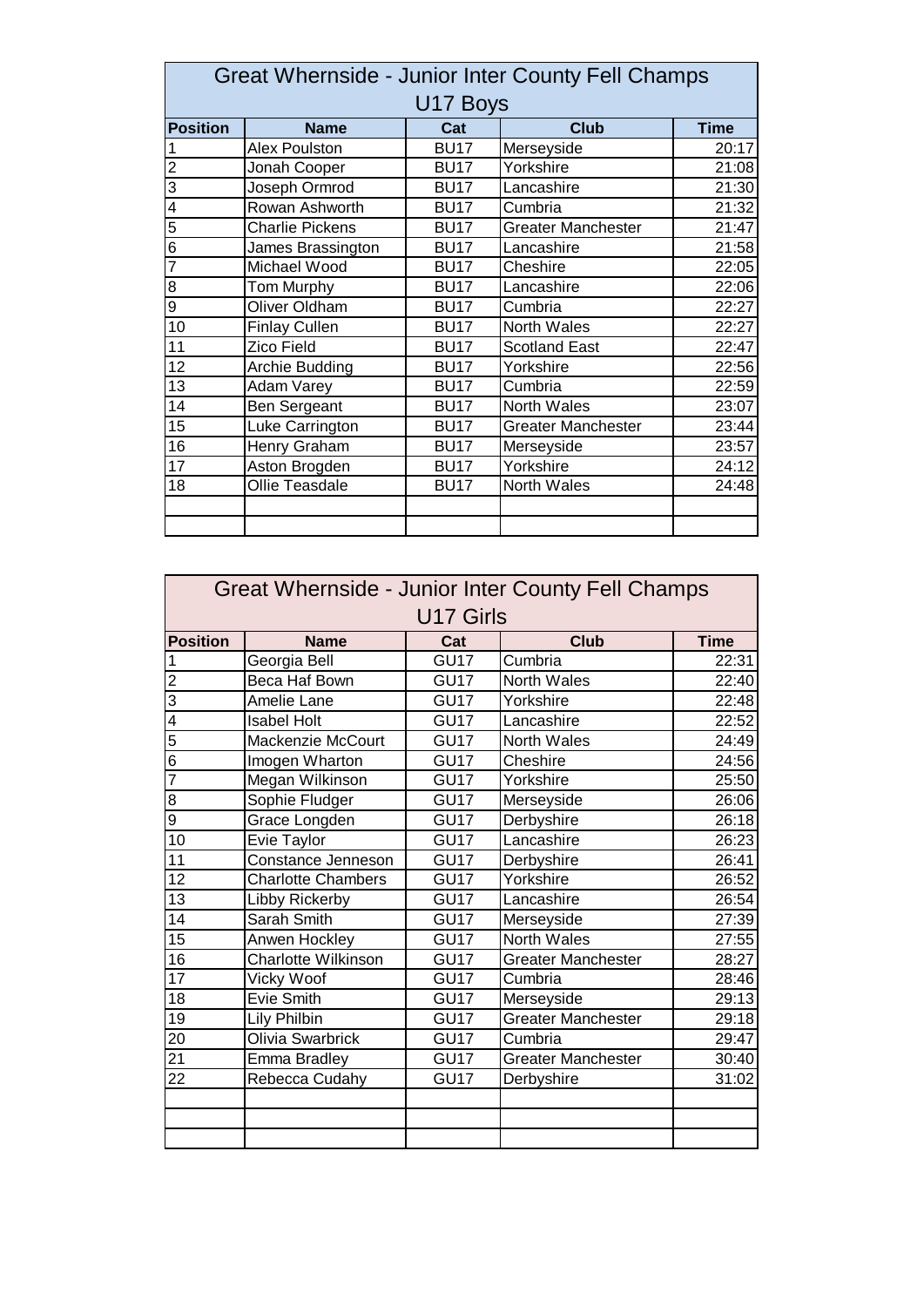| <b>Great Whernside - Junior Inter County Fell Champs</b><br>U17 Boys |                        |             |                           |             |
|----------------------------------------------------------------------|------------------------|-------------|---------------------------|-------------|
| <b>Position</b>                                                      | <b>Name</b>            | Cat         | <b>Club</b>               | <b>Time</b> |
|                                                                      | Alex Poulston          | <b>BU17</b> | Merseyside                | 20:17       |
| $\overline{2}$                                                       | Jonah Cooper           | <b>BU17</b> | Yorkshire                 | 21:08       |
| 3                                                                    | Joseph Ormrod          | <b>BU17</b> | Lancashire                | 21:30       |
| 4                                                                    | Rowan Ashworth         | <b>BU17</b> | Cumbria                   | 21:32       |
| 5                                                                    | <b>Charlie Pickens</b> | <b>BU17</b> | <b>Greater Manchester</b> | 21:47       |
| 6                                                                    | James Brassington      | <b>BU17</b> | Lancashire                | 21:58       |
| 7                                                                    | Michael Wood           | <b>BU17</b> | Cheshire                  | 22:05       |
| 8                                                                    | Tom Murphy             | <b>BU17</b> | Lancashire                | 22:06       |
| 9                                                                    | Oliver Oldham          | <b>BU17</b> | Cumbria                   | 22:27       |
| 10                                                                   | <b>Finlay Cullen</b>   | <b>BU17</b> | North Wales               | 22:27       |
| 11                                                                   | Zico Field             | <b>BU17</b> | <b>Scotland East</b>      | 22:47       |
| 12                                                                   | Archie Budding         | <b>BU17</b> | Yorkshire                 | 22:56       |
| 13                                                                   | <b>Adam Varey</b>      | <b>BU17</b> | Cumbria                   | 22:59       |
| 14                                                                   | Ben Sergeant           | <b>BU17</b> | <b>North Wales</b>        | 23:07       |
| 15                                                                   | Luke Carrington        | <b>BU17</b> | <b>Greater Manchester</b> | 23:44       |
| 16                                                                   | Henry Graham           | <b>BU17</b> | Merseyside                | 23:57       |
| 17                                                                   | Aston Brogden          | <b>BU17</b> | Yorkshire                 | 24:12       |
| 18                                                                   | Ollie Teasdale         | <b>BU17</b> | <b>North Wales</b>        | 24:48       |
|                                                                      |                        |             |                           |             |

| <b>Great Whernside - Junior Inter County Fell Champs</b><br>U17 Girls |                            |                  |                           |             |
|-----------------------------------------------------------------------|----------------------------|------------------|---------------------------|-------------|
| <b>Position</b>                                                       | <b>Name</b>                | Cat              | <b>Club</b>               | <b>Time</b> |
| 1                                                                     | Georgia Bell               | GU17             | Cumbria                   | 22:31       |
| $\overline{2}$                                                        | Beca Haf Bown              | GU17             | North Wales               | 22:40       |
| 3                                                                     | Amelie Lane                | GU <sub>17</sub> | Yorkshire                 | 22:48       |
| 4                                                                     | <b>Isabel Holt</b>         | GU <sub>17</sub> | Lancashire                | 22:52       |
| 5                                                                     | Mackenzie McCourt          | GU <sub>17</sub> | <b>North Wales</b>        | 24:49       |
| 6                                                                     | Imogen Wharton             | GU17             | Cheshire                  | 24:56       |
| $\overline{7}$                                                        | Megan Wilkinson            | GU17             | Yorkshire                 | 25:50       |
| 8                                                                     | Sophie Fludger             | GU17             | Merseyside                | 26:06       |
| 9                                                                     | Grace Longden              | GU17             | Derbyshire                | 26:18       |
| 10                                                                    | Evie Taylor                | GU <sub>17</sub> | Lancashire                | 26:23       |
| 11                                                                    | Constance Jenneson         | GU17             | Derbyshire                | 26:41       |
| 12                                                                    | <b>Charlotte Chambers</b>  | GU17             | Yorkshire                 | 26:52       |
| 13                                                                    | Libby Rickerby             | GU17             | Lancashire                | 26:54       |
| 14                                                                    | Sarah Smith                | GU17             | Merseyside                | 27:39       |
| 15                                                                    | Anwen Hockley              | GU17             | North Wales               | 27:55       |
| 16                                                                    | <b>Charlotte Wilkinson</b> | GU <sub>17</sub> | <b>Greater Manchester</b> | 28:27       |
| 17                                                                    | Vicky Woof                 | GU17             | Cumbria                   | 28:46       |
| 18                                                                    | Evie Smith                 | GU17             | Merseyside                | 29:13       |
| 19                                                                    | Lily Philbin               | GU17             | <b>Greater Manchester</b> | 29:18       |
| 20                                                                    | Olivia Swarbrick           | GU17             | Cumbria                   | 29:47       |
| 21                                                                    | Emma Bradley               | GU17             | <b>Greater Manchester</b> | 30:40       |
| 22                                                                    | Rebecca Cudahy             | GU17             | Derbyshire                | 31:02       |
|                                                                       |                            |                  |                           |             |
|                                                                       |                            |                  |                           |             |
|                                                                       |                            |                  |                           |             |